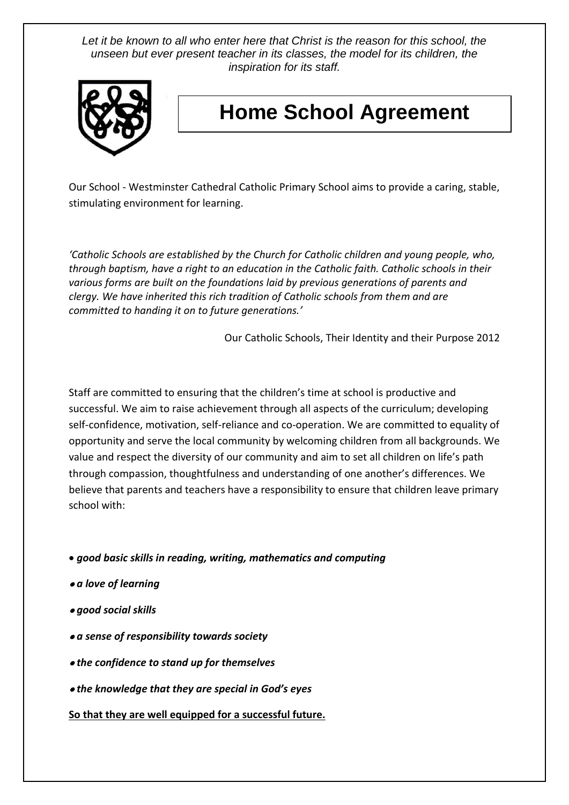Let it be known to all who enter here that Christ is the reason for this school, the *unseen but ever present teacher in its classes, the model for its children, the inspiration for its staff.*



# **Home School Agreement**

Our School - Westminster Cathedral Catholic Primary School aims to provide a caring, stable, stimulating environment for learning.

*'Catholic Schools are established by the Church for Catholic children and young people, who, through baptism, have a right to an education in the Catholic faith. Catholic schools in their various forms are built on the foundations laid by previous generations of parents and clergy. We have inherited this rich tradition of Catholic schools from them and are committed to handing it on to future generations.'*

Our Catholic Schools, Their Identity and their Purpose 2012

Staff are committed to ensuring that the children's time at school is productive and successful. We aim to raise achievement through all aspects of the curriculum; developing self-confidence, motivation, self-reliance and co-operation. We are committed to equality of opportunity and serve the local community by welcoming children from all backgrounds. We value and respect the diversity of our community and aim to set all children on life's path through compassion, thoughtfulness and understanding of one another's differences. We believe that parents and teachers have a responsibility to ensure that children leave primary school with:

• *good basic skills in reading, writing, mathematics and computing* 

- *a love of learning*
- *good social skills*
- *a sense of responsibility towards society*
- *the confidence to stand up for themselves*
- *the knowledge that they are special in God's eyes*

#### **So that they are well equipped for a successful future.**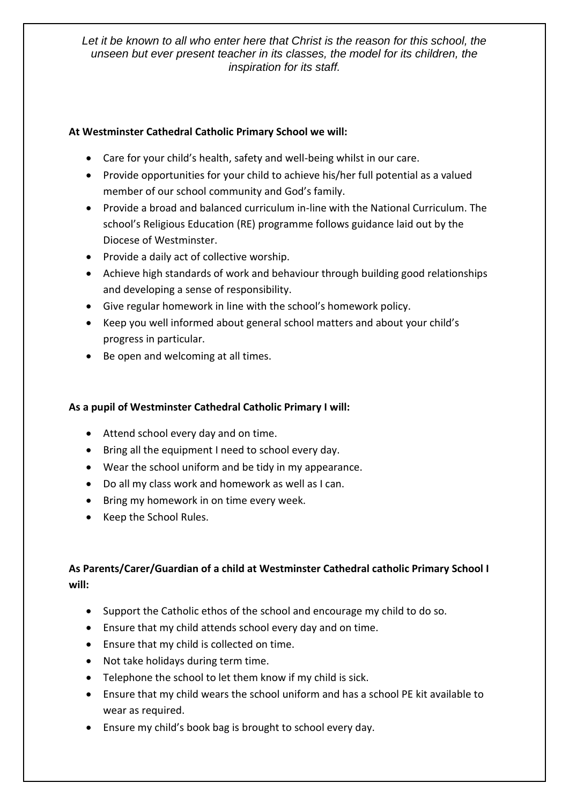Let it be known to all who enter here that Christ is the reason for this school, the *unseen but ever present teacher in its classes, the model for its children, the inspiration for its staff.*

### **At Westminster Cathedral Catholic Primary School we will:**

- Care for your child's health, safety and well-being whilst in our care.
- Provide opportunities for your child to achieve his/her full potential as a valued member of our school community and God's family.
- Provide a broad and balanced curriculum in-line with the National Curriculum. The school's Religious Education (RE) programme follows guidance laid out by the Diocese of Westminster.
- Provide a daily act of collective worship.
- Achieve high standards of work and behaviour through building good relationships and developing a sense of responsibility.
- Give regular homework in line with the school's homework policy.
- Keep you well informed about general school matters and about your child's progress in particular.
- Be open and welcoming at all times.

## **As a pupil of Westminster Cathedral Catholic Primary I will:**

- Attend school every day and on time.
- Bring all the equipment I need to school every day.
- Wear the school uniform and be tidy in my appearance.
- Do all my class work and homework as well as I can.
- Bring my homework in on time every week.
- Keep the School Rules.

# **As Parents/Carer/Guardian of a child at Westminster Cathedral catholic Primary School I will:**

- Support the Catholic ethos of the school and encourage my child to do so.
- Ensure that my child attends school every day and on time.
- Ensure that my child is collected on time.
- Not take holidays during term time.
- Telephone the school to let them know if my child is sick.
- Ensure that my child wears the school uniform and has a school PE kit available to wear as required.
- Ensure my child's book bag is brought to school every day.